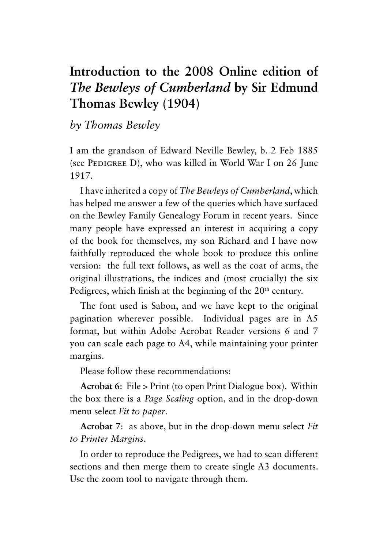## **Introduction to the 2008 Online edition of**  *The Bewleys of Cumberland* **by Sir Edmund Thomas Bewley (1904)**

*by Thomas Bewley*

I am the grandson of Edward Neville Bewley, b. 2 Feb 1885 (see PEDIGREE D), who was killed in World War I on  $26$  June 1917.

I have inherited a copy of *The Bewleys of Cumberland*, which has helped me answer a few of the queries which have surfaced on the Bewley Family Genealogy Forum in recent years. Since many people have expressed an interest in acquiring a copy of the book for themselves, my son Richard and I have now faithfully reproduced the whole book to produce this online version: the full text follows, as well as the coat of arms, the original illustrations, the indices and (most crucially) the six Pedigrees, which finish at the beginning of the 20<sup>th</sup> century.

The font used is Sabon, and we have kept to the original pagination wherever possible. Individual pages are in A5 format, but within Adobe Acrobat Reader versions 6 and 7 you can scale each page to A4, while maintaining your printer margins.

Please follow these recommendations:

**Acrobat 6**: File > Print (to open Print Dialogue box). Within the box there is a *Page Scaling* option, and in the drop-down menu select *Fit to paper*.

**Acrobat 7**: as above, but in the drop-down menu select *Fit to Printer Margins*.

In order to reproduce the Pedigrees, we had to scan different sections and then merge them to create single A3 documents. Use the zoom tool to navigate through them.